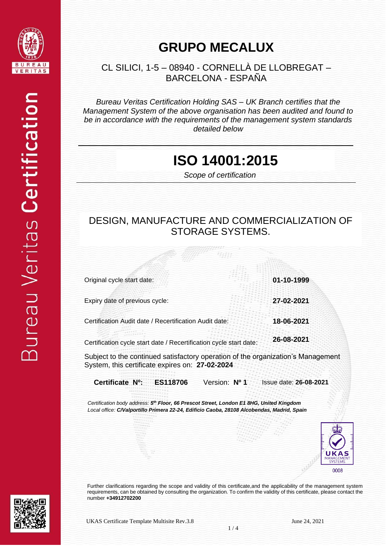

#### **GRUPO MECALUX**

 CL SILICI, 1-5 – 08940 - CORNELLÀ DE LLOBREGAT – BARCELONA - ESPAÑA

*Bureau Veritas Certification Holding SAS – UK Branch certifies that the Management System of the above organisation has been audited and found to be in accordance with the requirements of the management system standards detailed below*

#### **ISO 14001:2015**

 *Scope of certification*

#### DESIGN, MANUFACTURE AND COMMERCIALIZATION OF STORAGE SYSTEMS.

加拼

| Original cycle start date:                                                                          | 01-10-1999             |
|-----------------------------------------------------------------------------------------------------|------------------------|
| Expiry date of previous cycle:                                                                      | 27-02-2021             |
|                                                                                                     |                        |
| Certification Audit date / Recertification Audit date:                                              | 18-06-2021             |
|                                                                                                     |                        |
| Certification cycle start date / Recertification cycle start date:                                  | 26-08-2021             |
| Subject to the continued satisfactory operation of the organization's Management                    |                        |
| System, this certificate expires on: 27-02-2024                                                     |                        |
| Certificate N <sup>o</sup> :<br>Version: Nº 1<br>ES118706                                           | Issue date: 26-08-2021 |
| Certification body address: 5 <sup>th</sup> Floor, 66 Prescot Street, London E1 8HG, United Kingdom |                        |
| Local office: C/Valportillo Primera 22-24, Edificio Caoba, 28108 Alcobendas, Madrid, Spain          |                        |



Further clarifications regarding the scope and validity of this certificate,and the applicability of the management system requirements, can be obtained by consulting the organization. To confirm the validity of this certificate, please contact the number **+34912702200**

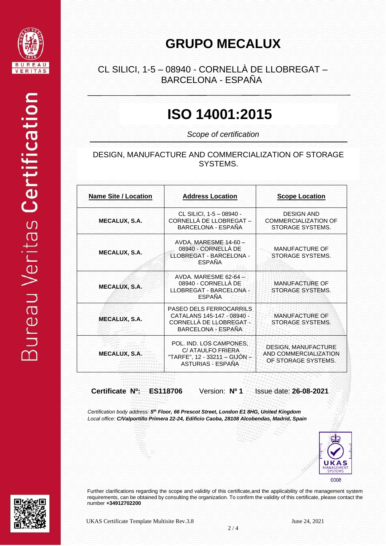

## **GRUPO MECALUX**

#### CL SILICI, 1-5 – 08940 - CORNELLÀ DE LLOBREGAT – BARCELONA - ESPANA

# **ISO 14001:2015**

*Scope of certification*

#### DESIGN, MANUFACTURE AND COMMERCIALIZATION OF STORAGE SYSTEMS.

| <b>Name Site / Location</b> | <b>Address Location</b>                                                                                       | <b>Scope Location</b>                                                      |
|-----------------------------|---------------------------------------------------------------------------------------------------------------|----------------------------------------------------------------------------|
| <b>MECALUX, S.A.</b>        | CL SILICI, 1-5 - 08940 -<br>CORNELLÀ DE LLOBREGAT-<br>BARCELONA - ESPAÑA                                      | <b>DESIGN AND</b><br><b>COMMERCIALIZATION OF</b><br>STORAGE SYSTEMS.       |
| <b>MECALUX, S.A.</b>        | AVDA, MARESME 14-60-<br>08940 - CORNELLA DE<br>LLOBREGAT - BARCELONA -<br><b>ESPAÑA</b>                       | <b>MANUFACTURE OF</b><br>STORAGE SYSTEMS.                                  |
| <b>MECALUX, S.A.</b>        | AVDA, MARESME 62-64 -<br>08940 - CORNELLA DE<br>LLOBREGAT - BARCELONA -<br><b>ESPAÑA</b>                      | <b>MANUFACTURE OF</b><br>STORAGE SYSTEMS.                                  |
| <b>MECALUX, S.A.</b>        | PASEO DELS FERROCARRILS<br>CATALANS 145-147 - 08940 -<br>CORNELLA DE LLOBREGAT -<br><b>BARCELONA - ESPAÑA</b> | <b>MANUFACTURE OF</b><br>STORAGE SYSTEMS.                                  |
| <b>MECALUX, S.</b>          | POL. IND. LOS CAMPONES.<br>C/ ATAULFO FRIERA<br>"TARFE", 12 - 33211 - GIJON -<br><b>ASTURIAS - ESPAÑA</b>     | <b>DESIGN, MANUFACTURE</b><br>AND COMMERCIALIZATION<br>OF STORAGE SYSTEMS. |

**Certificate Nº: ES118706** Version: **Nº 1** Issue date: **26-08-2021**

*Certification body address: 5 th Floor, 66 Prescot Street, London E1 8HG, United Kingdom Local office: C/Valportillo Primera 22-24, Edificio Caoba, 28108 Alcobendas, Madrid, Spain*



Further clarifications regarding the scope and validity of this certificate,and the applicability of the management system requirements, can be obtained by consulting the organization. To confirm the validity of this certificate, please contact the number **+34912702200**

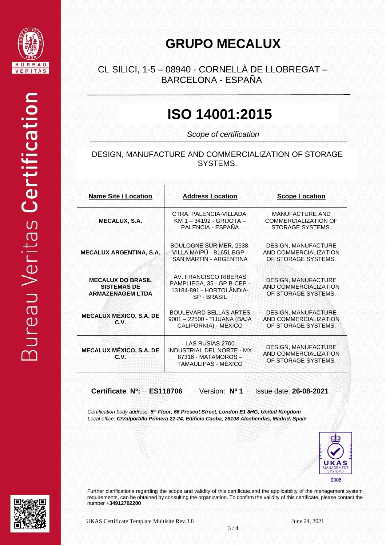

## **GRUPO MECALUX**

#### CL SILICI, 1-5 – 08940 - CORNELLÀ DE LLOBREGAT – BARCELONA - ESPANA

## **ISO 14001:2015**

*Scope of certification*

#### DESIGN, MANUFACTURE AND COMMERCIALIZATION OF STORAGE SYSTEMS.

| <b>Name Site / Location</b>                                               | <b>Address Location</b>                                                                             | <b>Scope Location</b>                                                      |
|---------------------------------------------------------------------------|-----------------------------------------------------------------------------------------------------|----------------------------------------------------------------------------|
| <b>MECALUX, S.A.</b>                                                      | CTRA. PALENCIA-VILLADA,<br>KM 1-34192 - GRIJOTA-<br>PALENCIA - ESPAÑA                               | <b>MANUFACTURE AND</b><br><b>COMMERCIALIZATION OF</b><br>STORAGE SYSTEMS.  |
| <b>MECALUX ARGENTINA, S.A.</b>                                            | BOULOGNE SUR MER, 2538,<br>VILLA MAIPÚ - B1651 BGP -<br><b>SAN MARTIN - ARGENTINA</b>               | DESIGN, MANUFACTURE<br>AND COMMERCIALIZATION<br>OF STORAGE SYSTEMS.        |
| <b>MECALUX DO BRASIL</b><br><b>SISTEMAS DE</b><br><b>ARMAZENAGEM LTDA</b> | AV. FRANCISCO RIBERAS<br>PAMPLIEGA, 35 - GP B-CEP -<br>13184-891 - HORTOLÂNDIA-<br><b>SP-BRASIL</b> | <b>DESIGN, MANUFACTURE</b><br>AND COMMERCIALIZATION<br>OF STORAGE SYSTEMS. |
| <b>MECALUX MÉXICO, S.A. DE</b><br>C.V.                                    | <b>BOULEVARD BELLAS ARTES</b><br>9001 - 22500 - TIJUANA (BAJA<br>CALIFORNIA) - MÉXICO               | <b>DESIGN, MANUFACTURE</b><br>AND COMMERCIALIZATION<br>OF STORAGE SYSTEMS. |
| <b>MECALUX MÉXICO, S.A. DE</b><br>c.v.                                    | LAS RUSIAS 2700<br>INDUSTRIAL DEL NORTE - MX<br>87316 - MATAMOROS -<br>TAMAULIPAS - MÉXICO          | <b>DESIGN, MANUFACTURE</b><br>AND COMMERCIALIZATION<br>OF STORAGE SYSTEMS. |

**Certificate Nº: ES118706** Version: **Nº 1** Issue date: **26-08-2021**

*Certification body address: 5 th Floor, 66 Prescot Street, London E1 8HG, United Kingdom Local office: C/Valportillo Primera 22-24, Edificio Caoba, 28108 Alcobendas, Madrid, Spain*



Further clarifications regarding the scope and validity of this certificate,and the applicability of the management system requirements, can be obtained by consulting the organization. To confirm the validity of this certificate, please contact the number **+34912702200**